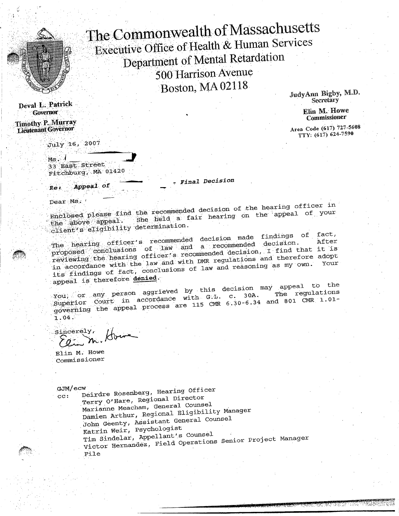

The Commonwealth of Massachusetts Executive Office of Health & Human Services Department of Mental Retardation 500 Harrison Avenue Boston, MA 02118

L. Patrick Contract Contract Contract Contract Contract Contract Contract Contract Contract Contract Contract Contract Contract Contract Contract Contract Contract Contract Contract Contract Contract Contract Contract Cont

Lientenant Governor Commissioner<br>
Lientenant Governor Commissioner<br>
Area Code (617) 727-5608

-July 16, 20 *07*

Ms - 33 East Street Fitchburg, MA 01420

*- Final* Decision

Appeal of Re:

Dear Ms.: <sup>t</sup>

 $E_{\rm{1.4\,GHz}}$  and the recommended decision of the hearing officer in  $\sim$ the : :abOYe''al4peal -. She held a fair hearing on the appeal of your Enclosed please line in the commenced documents of the appeal of your<br>the above appeal. She held a fair hearing on the appeal of your

 $\frac{1}{\pi}$  . The hearing officer's recommended decision made findings of fact, proposed conclusions of  $1aw$  and a recommended decision. reviewing the hearing officer's recommended decision, I find that it is reviewing the hearing officer such DMR regulations and therefore adopt in accordance with the law and with find a seasoning as my own. Your its findings of fact, conclusions of law and reasoning as my own.<br>appeal is therefore denied.

 $\frac{y_{xx}}{y_{xx}}$  . on arr all addition and a set and a set and a set a set of the set of the set of the set of the set of the set of the set of the set of the set of the set of the set of the set of the set of the set of th You, or any person aggrieved by chip Court in accordance with G.L. c. 30A. The regulations  $\text{Superror}$  Court in accordance  $\text{max}$  CMR 6.30-6.34 and 801 CMR 1.01gover

Sincerely,  $E$ 

Elin M. How

 $GJM/ecw$ 

cc: Deirdre Rosenberg, Hearing Officer .Terry O'Hare, Regional Director Marianne Meacham, General Counsel Damien Arthur, Regional Eligibility Manager John Geenty, ASsistant General Counsel Katrin Weir, Psychologist Tim Sindelar, Appellant's Counsel Tim Sindelar, Appertuncer<br>International Pield Operations Senior Project Manag  $V1$ 

Deval 1,.Patrick JndyAnn Bigby, M.D.

The Commissioner Commissioner Commissioner

 $TTY: (617)$  624-7590  $\mathbf{r}$  as (fin)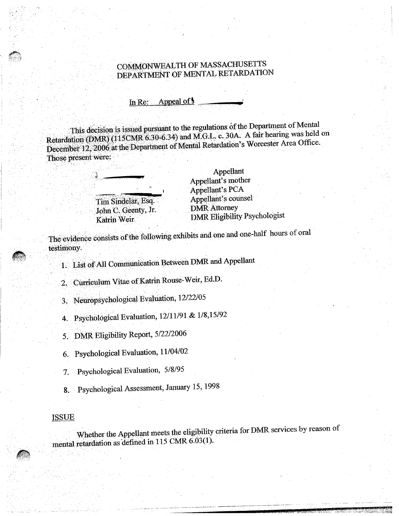## COMMONWEALTH OF MASSACHUSETTS DEPARTMENT OF MENTAL RETARDATION

## In Re: Appeal of  $\frac{1}{2}$

This decision is issued pursuant to the regulations of the Department of Mental Retardation (DMR) (115CMR 6.30-6.34) and M.G.L. c. 30A. A fair hearing was held on December 12, 2006 at the Departmentof Mental Retardation's Worcester Area Office. Those present were:

> Tim Sindelar, Esq. John C. Geenty, Jr. Katrin Weir

Appellant Appellant's mother Appellant's PCA Appellant's counsel DMR Attorney DMR Eligibility Psychologist

The evidence consists of the following exhibits and one and one-half hours of oral testimony.

List of All Communication Between DMR and Appellant

Curriculum Vitae of Katrin Rouse-Weir, Ed.D.

Neuropsychological Evaluation, 12/22/05

4. Psychological Evaluation, 12/11/91 & 1/8,15/92

5. DMR Eligibility Report, 5/22/2006

6. Psychological Evaluation, 11/04/02

7. Psychological Evaluation, 5/8/95

8. Psychological Assessment, January 15, 1998

#### ISSUE

Whether the Appellant meets the eligibility criteria for DMR services by reason of mental retardation as defined in 115 CMR 6.03(1).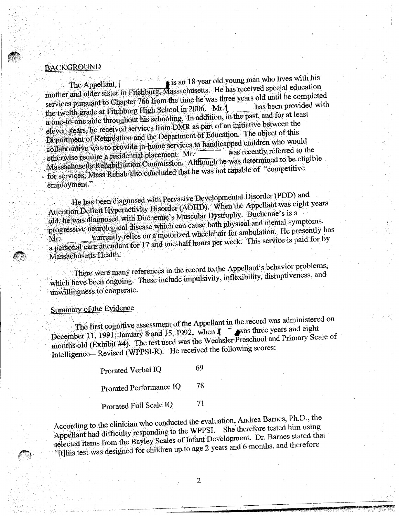### **BACKGROUND**

The Appellant, [ is an 18 year old young man who lives with his mother and older sister in Fitchburg; Massachusetts. He has received special education services pursuant to Chapter 766 from the time he was three years old until he completed<br>rtight with the category of the provided with the twelth grade at Fitchburg High School in 2006. Mr. L a one-to-one aide throughout his schooling. In addition, in the past, and for at least eleven years, he received services from DMR as part of an initiative between the Department of Retardation and the Department of Education. The object of this collaborative was to provide in-home services to handicapped children who would<br>otherwise require a residential placement. Mr.  $\mu_{\text{non-ideal}}$  is a residential placement. Mr.  $\mu_{\text{non-parallel}}$  was recently referred to the  $\mu$  associates. Rehabilitation Commission. Although he was determined to be engineermassagements of the services Rehab also concluded that he was not capable of "competitive  $\frac{1}{2}$ employment."

He has been diagnosed with Pervasive Developmental Disorder (PDD) and Attention Deficit Hyperactivity Disorder (ADHD). When the Appellant was eight years Old, he Was diagnosed with Duchenne's Muscular Dystrophy. Duchenne's is a progressive neurological disease which, can cause both physical and mental symptoms. Mr. currently relies on a motorized wheelchair for ambulation. He presently has a personal care attendant for 17 and one-half hours per week. This service is paid for by Massachusetts Health.

There were many references in the record to the Appellant's behavior problems, which have been ongoing. These include impulsivity, inflexibility, disruptiveness, and unwillingness to cooperate.

## Summary of the Evidence

The first cognitive assessment of the Appellant in the record was administered on December 11, 1991, January 8 and 15, 1992, when **1 a**vas three years and eight months old (Exhibit #4). The test used was the Wechsler Preschool and Primary Scale of Intelligence—Revised (WPPSI-R). He received the following scores:

Prorated Verbal IQ 69

Prorated Performance IQ 78

Prorated Full Scale IQ 71

According to the clinician who conducted the evaluation, Andrea Barnes, Ph.D., the Appellant had difficulty responding to the WPPSI. She therefore tested him using According to the test of difficulty responding to the WPPSI. She therefore tested him using supposite that the local service Scales of Infant Development. Dr. Barnes stated that "[t]his test was designed for children up. to age 2 years and 6 months, and therefore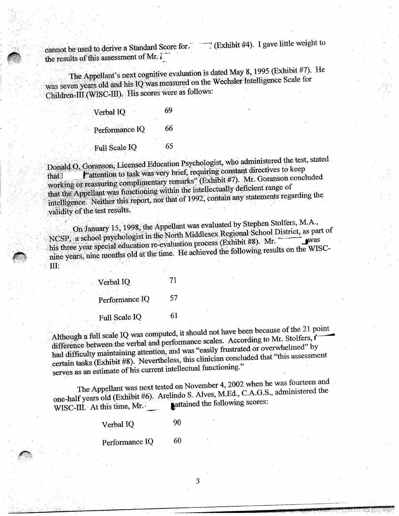cannot be used to derive a Standard Score for.  $\overline{\phantom{a}}$  (Exhibit #4). I gave little weight to the results of this assessment of Mr.  $\bar{l}$ 

The Appellant's next cognitive evaluation is dated May 8, 1995 (Exhibit #7). He was seven years old and his IQ was measured on the Wechsler Intelligence Scale for Children-III (WISC-III). His scores were as follows:

| Verbal IQ      | 69  |
|----------------|-----|
| Performance IQ | 66  |
| Full Scale IQ  | -65 |

Donald 0. Goranson, Licensed Education Psychologist, who administered the test, stated l"attention to task was very brief, requiring constant directives to keep working or reassuring complimentary remarks" (Exhibit #7). Mr. Goranson concluded that the Appellant was functioning within the intellectually deficient range of intelligence. Neither this report, nor that of 1992, contain any statements regarding the validity of the test results.

On January 15, 1998, the Appellant was evaluated by Stephen Stolfers, M.A.,  $\mu_{\rm CCD}$ , a school psychologist in the North Middlesex Regional School District, as part of hat the Appellant was functioning with the of 1992, contain any statements regarding the validity of the test results.<br>
On January 15, 1998, the Appellant was evaluated by Stephen Stolfers, M.A.,<br>
NCSP, a school psychologi his three year special education re-evaluation process (Exhibit #8). Mr. was nine years, nine months old at the time. He achieved the following results on the WISC-III:

| Verbal IQ            | 71 |
|----------------------|----|
| Performance IQ       | 57 |
| <b>Full Scale IQ</b> | 61 |

Although a full scale IQ was computed, it should not have been because of the 21 point difference between the verbal and performance scales. According to Mr. Stolfers, i had difficulty maintaining attention, and was "easily frustrated or overwhelmed" by certain tasks (Exhibit #8). Nevertheless, this clinician concluded that "this assessment serves as an estimate of his current intellectual functioning."

The Appellant was next tested on November 4, 2002 when he was fourteen and  $\epsilon_{\text{max-holf years}}$  old (Exhibit #6). Arelindo S. Alves, M.Ed., C.A.G.S., administered the  $W = \frac{W}{W}$ . The state of  $\epsilon$  is the state of  $W$ .

3

Verbal IQ 90

Performance IQ 60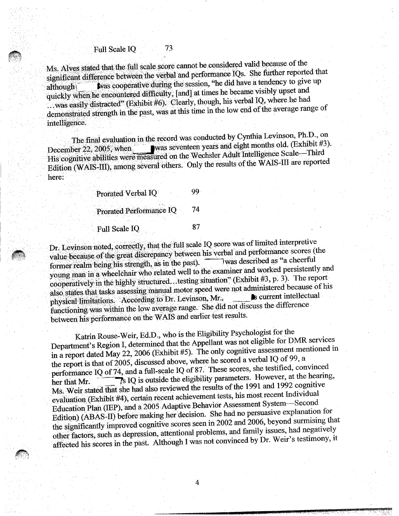## Full Scale IQ 73

Ms. Alves stated that the full scale score cannot be considered valid because of the significant difference between the verbal and performance IQs. She further reported that although **Was cooperative during the session, "he did have a tendency to give up** quickly when he encountered difficulty, [and] at times he became visibly upset and ..was easily distracted" (Exhibit #6). Clearly, though, his verbal IQ, where he had demonstrated strength in the past, was at this time in the low end of the average range of intelligence.

The final evaluation in the record was conducted by Cynthia Levinson, Ph.D., on December 22, 2005, when was seventeen years and eight months old. (Exhibit #3). His cognitive abilities were measured on the Wechsler Adult Intelligence Scale—Third Edition (WAIS-III), among several others. Only the results of the WAIS-III are reported here:

| Prorated Verbal IQ      | 99 |
|-------------------------|----|
| Prorated Performance IQ | 74 |
| Full Scale IQ           | 87 |

Dr. Levinson noted, correctly, that the'full scale IQ score was of limited interpretive value•because of the great discrepancy between his verbal and performance scores (the<br>formatized in being his strength, as in the past). Was described as "a cheerful former realm being his strength, as in the past). young man in a wheelchair who related well to the examiner and worked persistently and cooperatively in the highly structured...testing situation" (Exhibit #3, p. 3). The report also states that tasks assessing manual motor speed were not administered because of his physical limitations. 'According to Dr. Levinson, Mr., functioning was within the low average range. She did not discuss the difference between his performance on the WAIS and earlier test results.

Karin Rouse-Weir, Ed.D., who is the Eligibility Psychologist for the Department's Region I, determined that the Appellant was not eligible for DMR services in a report dated May 22, 2006 (Exhibit #5). The only cognitive assessment mentioned in the report is that of 2005, discussed above, where he scored a verbal IQ of 99, a performance IQ of 74, and a full-scale IQ of 87. These scores, she testified, convinced her that Mr.  $\overline{\phantom{a}}$  IQ is outside the eligibility parameters. However, at the hearing, Ms. Weir stated that she had also reviewed the results of the 1991 and 1992 cognitive evaluation (Exhibit #4), certain recent achievement tests, his most recent Individual Education Plan (IEP), and a 2005 Adaptive Behavior Assessment System—Second Edition) (ABAS-II) before making her decision. She had no persuasive explanation for the significantly improved cognitive scores seen in 2002 and 2006, beyond surmising that other factors, such as depression, attentional problems, and family issues, had negatively affected his scores in the past. Although I was not convinced by Dr. Weir's testimony, it

4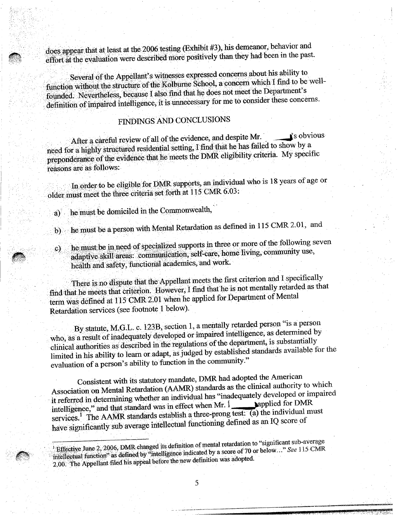does appear that at least at the 2006 testing (Exhibit #3), his demeanor, behavior and effort at the evaluation were described more positively than they had been in the past.

Several of the Appellant's witnesses expressed concerns about his ability to function without the structure of the Kolburne School, a concern which I find to be wellfounded. Nevertheless, because I also find that he does not meet the Department's definition of impaired intelligence, it is unnecessary for me to consider these concerns.

# FINDINGS AND CONCLUSIONS

After a careful review of all of the evidence, and despite Mr.  $\Box$  is obvious need for a highly structured residential setting, I find that he has failed to show by a preponderance of the evidence that he meets the DMR. eligibility criteria. My specific reasons are as follows:

In order to be eligible for DMR supports, an individual who is 18 years of age or older must meet the three criteria set forth at 115 CMR 6.03:

he must be domiciled in the Commonwealth, a)

- he must be a` person with Mental Retardation as defined in 115 CMR. 2.01, and  $\mathbf{b}$
- he must be in need of specialized supports in three or more of the following sever<br>adaptive skill areas: communication, self-care, home living, community use, c) adaptive skill areas: communication, self-care, home living, community use, health and safety, functional academics, and work.

There is no dispute that the Appellant meets the first criterion and I specifically find that he meets that criterion. However, I find that he is not mentally retarded as that term was defmed at 115 CMR 2.01 when he applied for Department of Mental Retardation services (see footnote 1 below).

By statute, M.G.L. c. 123B, section 1, a mentally retarded person "is a person who, as a result of inadequately developed or impaired intelligence, as determined by clinical authorities as described in the regulations of the department, is substantially limited in his ability to learn or adapt, as judged by established standards available for the evaluation of a person's ability to function in the community."

Consistent with its statutory mandate, DMR had adopted the American Association on Mental Retardation (AAMR) standards as the clinical authority to which it referred in determining whether an individual has "inadequately developed or impaired<br>it refers that distribute was in effect when Mr. 1 **Applied** for DMR intelligence," and that standard was in effect when Mr.  $1$ services.<sup>1</sup> The AAMR standards establish a three-prong test: (a) the individual must have significantly sub average intellectual functioning defined as an IQ score of

<sup>1</sup> Effective June 2, 2006, DMR changed its definition of mental retardation to "significant sub-average intellectual function<sup>2</sup> as defined by "intelligence indicated by a score of 70 or below..." *See 115* CMR 2.00. The Appellant filed his appeal before thenew definition was adopted.

5